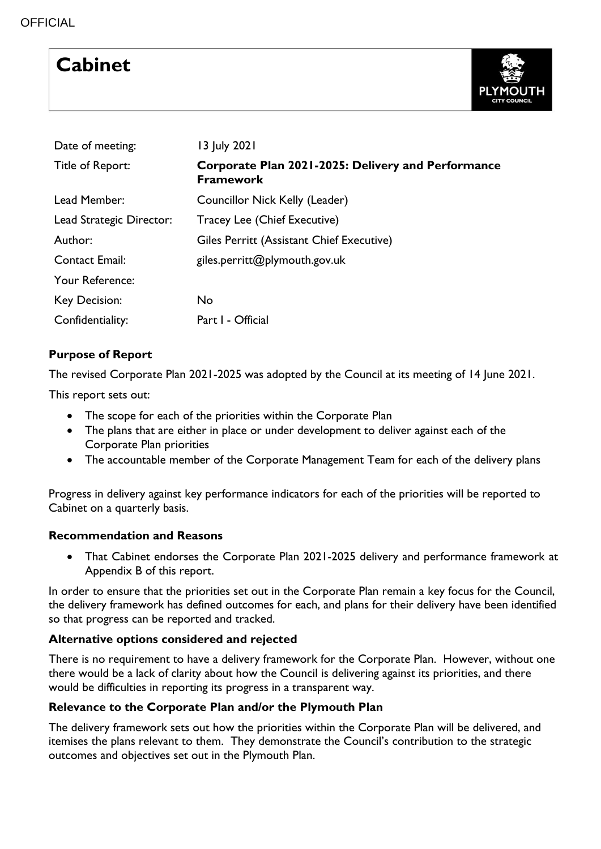# **Cabinet**



| Date of meeting:         | 13 July 2021                                                           |  |  |  |  |  |  |
|--------------------------|------------------------------------------------------------------------|--|--|--|--|--|--|
| Title of Report:         | Corporate Plan 2021-2025: Delivery and Performance<br><b>Framework</b> |  |  |  |  |  |  |
| Lead Member:             | Councillor Nick Kelly (Leader)                                         |  |  |  |  |  |  |
| Lead Strategic Director: | Tracey Lee (Chief Executive)                                           |  |  |  |  |  |  |
| Author:                  | Giles Perritt (Assistant Chief Executive)                              |  |  |  |  |  |  |
| <b>Contact Email:</b>    | giles.perritt@plymouth.gov.uk                                          |  |  |  |  |  |  |
| Your Reference:          |                                                                        |  |  |  |  |  |  |
| <b>Key Decision:</b>     | <b>No</b>                                                              |  |  |  |  |  |  |
| Confidentiality:         | Part I - Official                                                      |  |  |  |  |  |  |

# **Purpose of Report**

The revised Corporate Plan 2021-2025 was adopted by the Council at its meeting of 14 June 2021.

This report sets out:

- The scope for each of the priorities within the Corporate Plan
- The plans that are either in place or under development to deliver against each of the Corporate Plan priorities
- The accountable member of the Corporate Management Team for each of the delivery plans

Progress in delivery against key performance indicators for each of the priorities will be reported to Cabinet on a quarterly basis.

#### **Recommendation and Reasons**

 That Cabinet endorses the Corporate Plan 2021-2025 delivery and performance framework at Appendix B of this report.

In order to ensure that the priorities set out in the Corporate Plan remain a key focus for the Council, the delivery framework has defined outcomes for each, and plans for their delivery have been identified so that progress can be reported and tracked.

# **Alternative options considered and rejected**

There is no requirement to have a delivery framework for the Corporate Plan. However, without one there would be a lack of clarity about how the Council is delivering against its priorities, and there would be difficulties in reporting its progress in a transparent way.

# **Relevance to the Corporate Plan and/or the Plymouth Plan**

The delivery framework sets out how the priorities within the Corporate Plan will be delivered, and itemises the plans relevant to them. They demonstrate the Council's contribution to the strategic outcomes and objectives set out in the Plymouth Plan.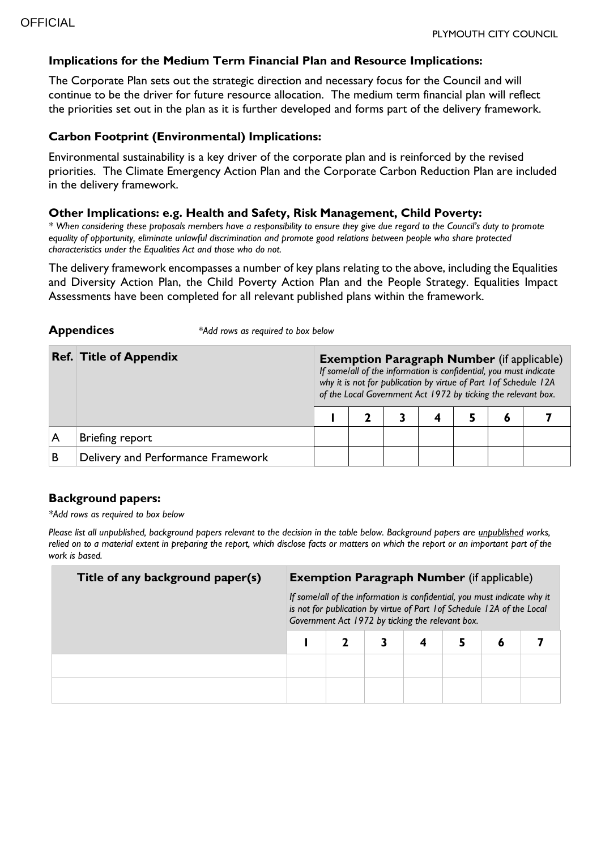#### **Implications for the Medium Term Financial Plan and Resource Implications:**

The Corporate Plan sets out the strategic direction and necessary focus for the Council and will continue to be the driver for future resource allocation. The medium term financial plan will reflect the priorities set out in the plan as it is further developed and forms part of the delivery framework.

#### **Carbon Footprint (Environmental) Implications:**

**Appendices** *\*Add rows as required to box below*

Environmental sustainability is a key driver of the corporate plan and is reinforced by the revised priorities. The Climate Emergency Action Plan and the Corporate Carbon Reduction Plan are included in the delivery framework.

#### **Other Implications: e.g. Health and Safety, Risk Management, Child Poverty:**

*\* When considering these proposals members have a responsibility to ensure they give due regard to the Council's duty to promote equality of opportunity, eliminate unlawful discrimination and promote good relations between people who share protected characteristics under the Equalities Act and those who do not.*

The delivery framework encompasses a number of key plans relating to the above, including the Equalities and Diversity Action Plan, the Child Poverty Action Plan and the People Strategy. Equalities Impact Assessments have been completed for all relevant published plans within the framework.

|   | <b>Ref. Title of Appendix</b>      | <b>Exemption Paragraph Number</b> (if applicable)<br>If some/all of the information is confidential, you must indicate<br>why it is not for publication by virtue of Part 1 of Schedule 12A<br>of the Local Government Act 1972 by ticking the relevant box. |  |  |  |  |   |  |  |  |
|---|------------------------------------|--------------------------------------------------------------------------------------------------------------------------------------------------------------------------------------------------------------------------------------------------------------|--|--|--|--|---|--|--|--|
|   |                                    |                                                                                                                                                                                                                                                              |  |  |  |  | 6 |  |  |  |
|   | Briefing report                    |                                                                                                                                                                                                                                                              |  |  |  |  |   |  |  |  |
| В | Delivery and Performance Framework |                                                                                                                                                                                                                                                              |  |  |  |  |   |  |  |  |

#### **Background papers:**

*\*Add rows as required to box below*

*Please list all unpublished, background papers relevant to the decision in the table below. Background papers are unpublished works, relied on to a material extent in preparing the report, which disclose facts or matters on which the report or an important part of the work is based.*

| Title of any background paper(s) | <b>Exemption Paragraph Number</b> (if applicable)<br>If some/all of the information is confidential, you must indicate why it<br>is not for publication by virtue of Part 1 of Schedule 12A of the Local<br>Government Act 1972 by ticking the relevant box. |  |  |  |  |   |  |  |  |
|----------------------------------|--------------------------------------------------------------------------------------------------------------------------------------------------------------------------------------------------------------------------------------------------------------|--|--|--|--|---|--|--|--|
|                                  |                                                                                                                                                                                                                                                              |  |  |  |  | 6 |  |  |  |
|                                  |                                                                                                                                                                                                                                                              |  |  |  |  |   |  |  |  |
|                                  |                                                                                                                                                                                                                                                              |  |  |  |  |   |  |  |  |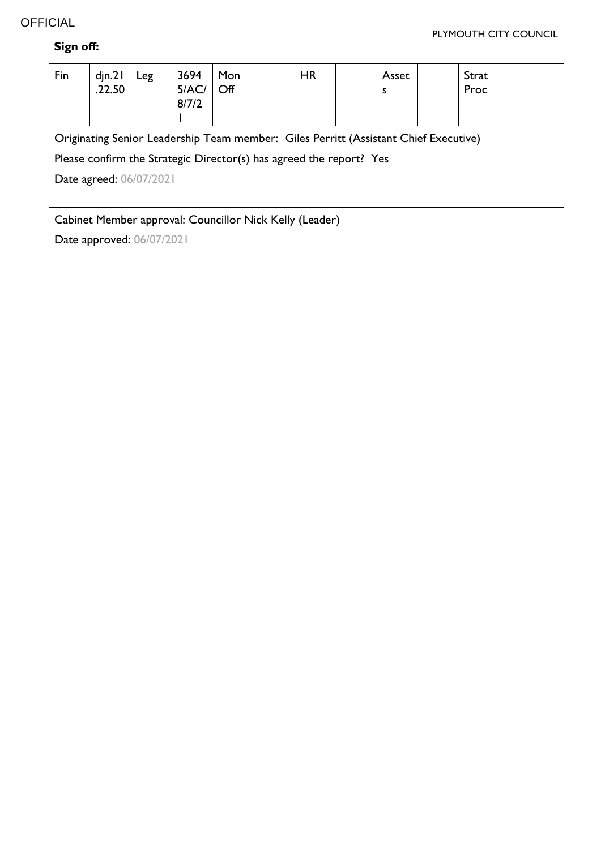# **OFFICIAL**

# **Sign off:**

| Fin                                                                 | $d$ jn.2 $\vert$<br>.22.50                                                           | Leg | 3694<br>5/AC/<br>8/7/2 | Mon<br>Off |  | <b>HR</b> |  | Asset<br>s |  | Strat<br>Proc |  |
|---------------------------------------------------------------------|--------------------------------------------------------------------------------------|-----|------------------------|------------|--|-----------|--|------------|--|---------------|--|
|                                                                     | Originating Senior Leadership Team member: Giles Perritt (Assistant Chief Executive) |     |                        |            |  |           |  |            |  |               |  |
| Please confirm the Strategic Director(s) has agreed the report? Yes |                                                                                      |     |                        |            |  |           |  |            |  |               |  |
| Date agreed: 06/07/2021                                             |                                                                                      |     |                        |            |  |           |  |            |  |               |  |
|                                                                     |                                                                                      |     |                        |            |  |           |  |            |  |               |  |
| Cabinet Member approval: Councillor Nick Kelly (Leader)             |                                                                                      |     |                        |            |  |           |  |            |  |               |  |
| Date approved: 06/07/2021                                           |                                                                                      |     |                        |            |  |           |  |            |  |               |  |